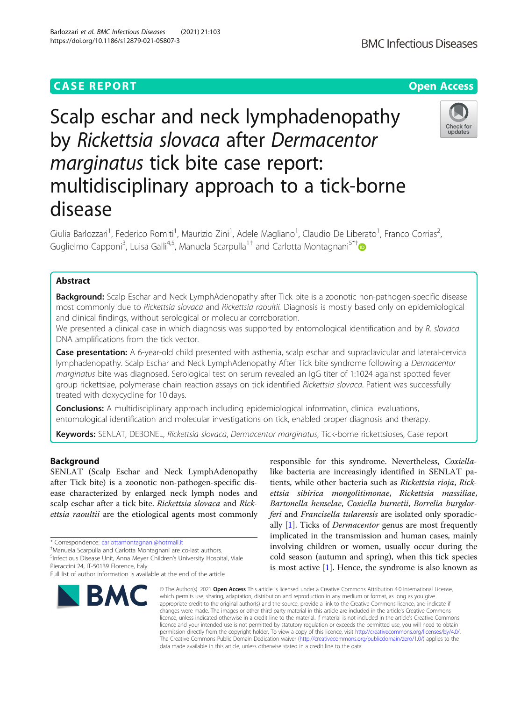# **CASE REPORT CASE ACCESS**

# Scalp eschar and neck lymphadenopathy by Rickettsia slovaca after Dermacentor marginatus tick bite case report: multidisciplinary approach to a tick-borne disease

Giulia Barlozzari<sup>1</sup>, Federico Romiti<sup>1</sup>, Maurizio Zini<sup>1</sup>, Adele Magliano<sup>1</sup>, Claudio De Liberato<sup>1</sup>, Franco Corrias<sup>2</sup> , Guglielmo Capponi<sup>3</sup>, Luisa Galli<sup>4,5</sup>, Manuela Scarpulla<sup>1[†](http://orcid.org/0000-0001-5950-4965)</sup> and Carlotta Montagnani<sup>5\*†</sup>

# Abstract

**Background:** Scalp Eschar and Neck LymphAdenopathy after Tick bite is a zoonotic non-pathogen-specific disease most commonly due to Rickettsia slovaca and Rickettsia raoultii. Diagnosis is mostly based only on epidemiological and clinical findings, without serological or molecular corroboration.

We presented a clinical case in which diagnosis was supported by entomological identification and by R. slovaca DNA amplifications from the tick vector.

Case presentation: A 6-year-old child presented with asthenia, scalp eschar and supraclavicular and lateral-cervical lymphadenopathy. Scalp Eschar and Neck LymphAdenopathy After Tick bite syndrome following a Dermacentor marginatus bite was diagnosed. Serological test on serum revealed an IgG titer of 1:1024 against spotted fever group rickettsiae, polymerase chain reaction assays on tick identified Rickettsia slovaca. Patient was successfully treated with doxycycline for 10 days.

**Conclusions:** A multidisciplinary approach including epidemiological information, clinical evaluations, entomological identification and molecular investigations on tick, enabled proper diagnosis and therapy.

Keywords: SENLAT, DEBONEL, Rickettsia slovaca, Dermacentor marginatus, Tick-borne rickettsioses, Case report

# Background

SENLAT (Scalp Eschar and Neck LymphAdenopathy after Tick bite) is a zoonotic non-pathogen-specific disease characterized by enlarged neck lymph nodes and scalp eschar after a tick bite. Rickettsia slovaca and Rickettsia raoultii are the etiological agents most commonly

<sup>5</sup>Infectious Disease Unit, Anna Meyer Children's University Hospital, Viale Pieraccini 24, IT-50139 Florence, Italy

# Barlozzari et al. BMC Infectious Diseases (2021) 21:103 https://doi.org/10.1186/s12879-021-05807-3

**RMC** 

responsible for this syndrome. Nevertheless, Coxiellalike bacteria are increasingly identified in SENLAT patients, while other bacteria such as Rickettsia rioja, Rickettsia sibirica mongolitimonae, Rickettsia massiliae, Bartonella henselae, Coxiella burnetii, Borrelia burgdorferi and Francisella tularensis are isolated only sporadically  $[1]$ . Ticks of *Dermacentor* genus are most frequently implicated in the transmission and human cases, mainly involving children or women, usually occur during the cold season (autumn and spring), when this tick species is most active [\[1](#page-3-0)]. Hence, the syndrome is also known as

© The Author(s), 2021 **Open Access** This article is licensed under a Creative Commons Attribution 4.0 International License, which permits use, sharing, adaptation, distribution and reproduction in any medium or format, as long as you give appropriate credit to the original author(s) and the source, provide a link to the Creative Commons licence, and indicate if changes were made. The images or other third party material in this article are included in the article's Creative Commons licence, unless indicated otherwise in a credit line to the material. If material is not included in the article's Creative Commons licence and your intended use is not permitted by statutory regulation or exceeds the permitted use, you will need to obtain permission directly from the copyright holder. To view a copy of this licence, visit [http://creativecommons.org/licenses/by/4.0/.](http://creativecommons.org/licenses/by/4.0/) The Creative Commons Public Domain Dedication waiver [\(http://creativecommons.org/publicdomain/zero/1.0/](http://creativecommons.org/publicdomain/zero/1.0/)) applies to the data made available in this article, unless otherwise stated in a credit line to the data.





<sup>\*</sup> Correspondence: [carlottamontagnani@hotmail.it](mailto:carlottamontagnani@hotmail.it) †

Manuela Scarpulla and Carlotta Montagnani are co-last authors.

Full list of author information is available at the end of the article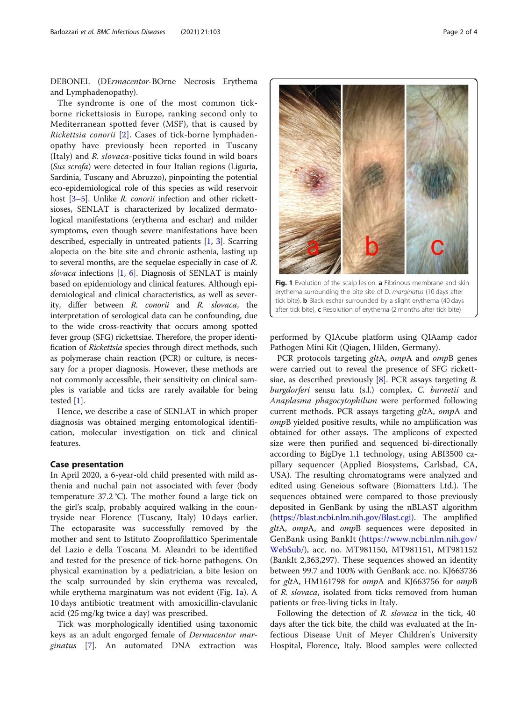<span id="page-1-0"></span>DEBONEL (DErmacentor-BOrne Necrosis Erythema and Lymphadenopathy).

The syndrome is one of the most common tickborne rickettsiosis in Europe, ranking second only to Mediterranean spotted fever (MSF), that is caused by Rickettsia conorii [[2\]](#page-3-0). Cases of tick-borne lymphadenopathy have previously been reported in Tuscany (Italy) and R. slovaca-positive ticks found in wild boars (Sus scrofa) were detected in four Italian regions (Liguria, Sardinia, Tuscany and Abruzzo), pinpointing the potential eco-epidemiological role of this species as wild reservoir host [[3](#page-3-0)–[5](#page-3-0)]. Unlike *R. conorii* infection and other rickettsioses, SENLAT is characterized by localized dermatological manifestations (erythema and eschar) and milder symptoms, even though severe manifestations have been described, especially in untreated patients [\[1](#page-3-0), [3\]](#page-3-0). Scarring alopecia on the bite site and chronic asthenia, lasting up to several months, are the sequelae especially in case of R. slovaca infections  $[1, 6]$  $[1, 6]$  $[1, 6]$ . Diagnosis of SENLAT is mainly based on epidemiology and clinical features. Although epidemiological and clinical characteristics, as well as severity, differ between R. conorii and R. slovaca, the interpretation of serological data can be confounding, due to the wide cross-reactivity that occurs among spotted fever group (SFG) rickettsiae. Therefore, the proper identification of Rickettsia species through direct methods, such as polymerase chain reaction (PCR) or culture, is necessary for a proper diagnosis. However, these methods are not commonly accessible, their sensitivity on clinical samples is variable and ticks are rarely available for being tested [\[1\]](#page-3-0).

Hence, we describe a case of SENLAT in which proper diagnosis was obtained merging entomological identification, molecular investigation on tick and clinical features.

## Case presentation

In April 2020, a 6-year-old child presented with mild asthenia and nuchal pain not associated with fever (body temperature 37.2 °C). The mother found a large tick on the girl's scalp, probably acquired walking in the countryside near Florence (Tuscany, Italy) 10 days earlier. The ectoparasite was successfully removed by the mother and sent to Istituto Zooprofilattico Sperimentale del Lazio e della Toscana M. Aleandri to be identified and tested for the presence of tick-borne pathogens. On physical examination by a pediatrician, a bite lesion on the scalp surrounded by skin erythema was revealed, while erythema marginatum was not evident (Fig. 1a). A 10 days antibiotic treatment with amoxicillin-clavulanic acid (25 mg/kg twice a day) was prescribed.

Tick was morphologically identified using taxonomic keys as an adult engorged female of Dermacentor marginatus [[7\]](#page-3-0). An automated DNA extraction was



Fig. 1 Evolution of the scalp lesion. a Fibrinous membrane and skin erythema surrounding the bite site of D. marginatus (10 days after tick bite). **b** Black eschar surrounded by a slight erythema (40 days after tick bite), c Resolution of erythema (2 months after tick bite)

performed by QIAcube platform using QIAamp cador Pathogen Mini Kit (Qiagen, Hilden, Germany).

PCR protocols targeting *gltA*, *ompA* and *ompB* genes were carried out to reveal the presence of SFG rickettsiae, as described previously  $[8]$  $[8]$ . PCR assays targeting B. burgdorferi sensu latu (s.l.) complex, C. burnetii and Anaplasma phagocytophilum were performed following current methods. PCR assays targeting gltA, ompA and ompB yielded positive results, while no amplification was obtained for other assays. The amplicons of expected size were then purified and sequenced bi-directionally according to BigDye 1.1 technology, using ABI3500 capillary sequencer (Applied Biosystems, Carlsbad, CA, USA). The resulting chromatograms were analyzed and edited using Geneious software (Biomatters Ltd.). The sequences obtained were compared to those previously deposited in GenBank by using the nBLAST algorithm ([https://blast.ncbi.nlm.nih.gov/Blast.cgi\)](https://blast.ncbi.nlm.nih.gov/Blast.cgi). The amplified gltA, ompA, and ompB sequences were deposited in GenBank using BankIt ([https://www.ncbi.nlm.nih.gov/](https://www.ncbi.nlm.nih.gov/WebSub/) [WebSub/](https://www.ncbi.nlm.nih.gov/WebSub/)), acc. no. MT981150, MT981151, MT981152 (BankIt 2,363,297). These sequences showed an identity between 99.7 and 100% with GenBank acc. no. KJ663736 for gltA, HM161798 for ompA and KJ663756 for ompB of R. slovaca, isolated from ticks removed from human patients or free-living ticks in Italy.

Following the detection of R. slovaca in the tick, 40 days after the tick bite, the child was evaluated at the Infectious Disease Unit of Meyer Children's University Hospital, Florence, Italy. Blood samples were collected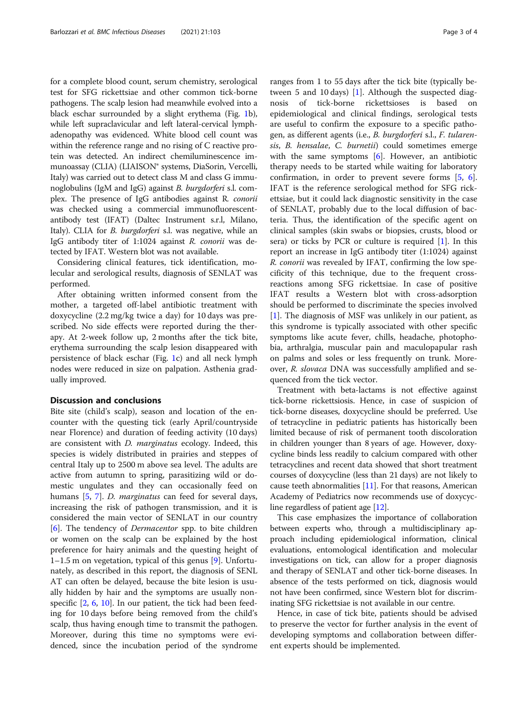for a complete blood count, serum chemistry, serological test for SFG rickettsiae and other common tick-borne pathogens. The scalp lesion had meanwhile evolved into a black eschar surrounded by a slight erythema (Fig. [1](#page-1-0)b), while left supraclavicular and left lateral-cervical lymphadenopathy was evidenced. White blood cell count was within the reference range and no rising of C reactive protein was detected. An indirect chemiluminescence immunoassay (CLIA) (LIAISON® systems, DiaSorin, Vercelli, Italy) was carried out to detect class M and class G immunoglobulins (IgM and IgG) against B. burgdorferi s.l. complex. The presence of IgG antibodies against R. conorii was checked using a commercial immunofluorescentantibody test (IFAT) (Daltec Instrument s.r.l, Milano, Italy). CLIA for *B. burgdorferi* s.l. was negative, while an IgG antibody titer of 1:1024 against R. conorii was detected by IFAT. Western blot was not available.

Considering clinical features, tick identification, molecular and serological results, diagnosis of SENLAT was performed.

After obtaining written informed consent from the mother, a targeted off-label antibiotic treatment with doxycycline (2.2 mg/kg twice a day) for 10 days was prescribed. No side effects were reported during the therapy. At 2-week follow up, 2 months after the tick bite, erythema surrounding the scalp lesion disappeared with persistence of black eschar (Fig. [1c](#page-1-0)) and all neck lymph nodes were reduced in size on palpation. Asthenia gradually improved.

# Discussion and conclusions

Bite site (child's scalp), season and location of the encounter with the questing tick (early April/countryside near Florence) and duration of feeding activity (10 days) are consistent with D. marginatus ecology. Indeed, this species is widely distributed in prairies and steppes of central Italy up to 2500 m above sea level. The adults are active from autumn to spring, parasitizing wild or domestic ungulates and they can occasionally feed on humans [\[5](#page-3-0), [7](#page-3-0)]. *D. marginatus* can feed for several days, increasing the risk of pathogen transmission, and it is considered the main vector of SENLAT in our country [[6\]](#page-3-0). The tendency of Dermacentor spp. to bite children or women on the scalp can be explained by the host preference for hairy animals and the questing height of 1–1.5 m on vegetation, typical of this genus [\[9\]](#page-3-0). Unfortunately, as described in this report, the diagnosis of SENL AT can often be delayed, because the bite lesion is usually hidden by hair and the symptoms are usually nonspecific [\[2](#page-3-0), [6](#page-3-0), [10\]](#page-3-0). In our patient, the tick had been feeding for 10 days before being removed from the child's scalp, thus having enough time to transmit the pathogen. Moreover, during this time no symptoms were evidenced, since the incubation period of the syndrome

ranges from 1 to 55 days after the tick bite (typically between 5 and 10 days) [[1\]](#page-3-0). Although the suspected diagnosis of tick-borne rickettsioses is based on epidemiological and clinical findings, serological tests are useful to confirm the exposure to a specific pathogen, as different agents (i.e., B. burgdorferi s.l., F. tularensis, B. hensalae, C. burnetii) could sometimes emerge with the same symptoms [\[6](#page-3-0)]. However, an antibiotic therapy needs to be started while waiting for laboratory confirmation, in order to prevent severe forms [\[5](#page-3-0), [6](#page-3-0)]. IFAT is the reference serological method for SFG rickettsiae, but it could lack diagnostic sensitivity in the case of SENLAT, probably due to the local diffusion of bacteria. Thus, the identification of the specific agent on clinical samples (skin swabs or biopsies, crusts, blood or sera) or ticks by PCR or culture is required [[1\]](#page-3-0). In this report an increase in IgG antibody titer (1:1024) against R. conorii was revealed by IFAT, confirming the low specificity of this technique, due to the frequent crossreactions among SFG rickettsiae. In case of positive IFAT results a Western blot with cross-adsorption should be performed to discriminate the species involved [[1\]](#page-3-0). The diagnosis of MSF was unlikely in our patient, as this syndrome is typically associated with other specific symptoms like acute fever, chills, headache, photophobia, arthralgia, muscular pain and maculopapular rash on palms and soles or less frequently on trunk. Moreover, R. slovaca DNA was successfully amplified and sequenced from the tick vector.

Treatment with beta-lactams is not effective against tick-borne rickettsiosis. Hence, in case of suspicion of tick-borne diseases, doxycycline should be preferred. Use of tetracycline in pediatric patients has historically been limited because of risk of permanent tooth discoloration in children younger than 8 years of age. However, doxycycline binds less readily to calcium compared with other tetracyclines and recent data showed that short treatment courses of doxycycline (less than 21 days) are not likely to cause teeth abnormalities  $[11]$ . For that reasons, American Academy of Pediatrics now recommends use of doxycycline regardless of patient age [\[12\]](#page-3-0).

This case emphasizes the importance of collaboration between experts who, through a multidisciplinary approach including epidemiological information, clinical evaluations, entomological identification and molecular investigations on tick, can allow for a proper diagnosis and therapy of SENLAT and other tick-borne diseases. In absence of the tests performed on tick, diagnosis would not have been confirmed, since Western blot for discriminating SFG rickettsiae is not available in our centre.

Hence, in case of tick bite, patients should be advised to preserve the vector for further analysis in the event of developing symptoms and collaboration between different experts should be implemented.